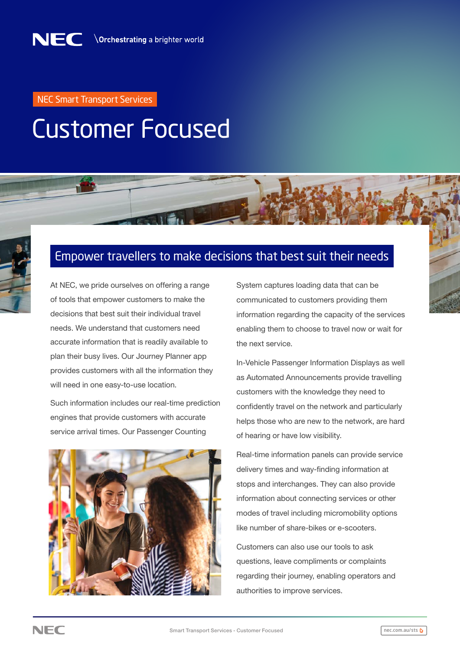## NEC Smart Transport Services

## Customer Focused

## Empower travellers to make decisions that best suit their needs

At NEC, we pride ourselves on offering a range of tools that empower customers to make the decisions that best suit their individual travel needs. We understand that customers need accurate information that is readily available to plan their busy lives. Our Journey Planner app provides customers with all the information they will need in one easy-to-use location.

Such information includes our real-time prediction engines that provide customers with accurate service arrival times. Our Passenger Counting



System captures loading data that can be communicated to customers providing them information regarding the capacity of the services enabling them to choose to travel now or wait for the next service.

In-Vehicle Passenger Information Displays as well as Automated Announcements provide travelling customers with the knowledge they need to confidently travel on the network and particularly helps those who are new to the network, are hard of hearing or have low visibility.

Real-time information panels can provide service delivery times and way-finding information at stops and interchanges. They can also provide information about connecting services or other modes of travel including micromobility options like number of share-bikes or e-scooters.

Customers can also use our tools to ask questions, leave compliments or complaints regarding their journey, enabling operators and authorities to improve services.